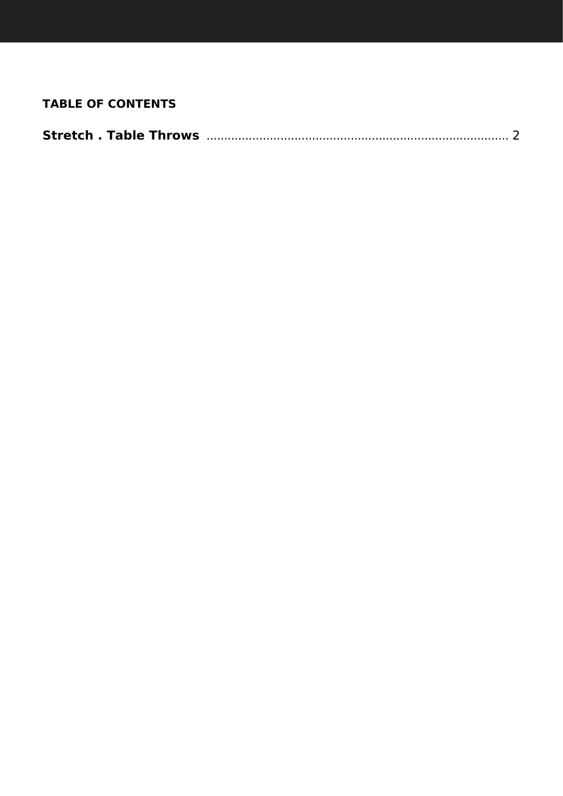# **TABLE OF CONTENTS**

|--|--|--|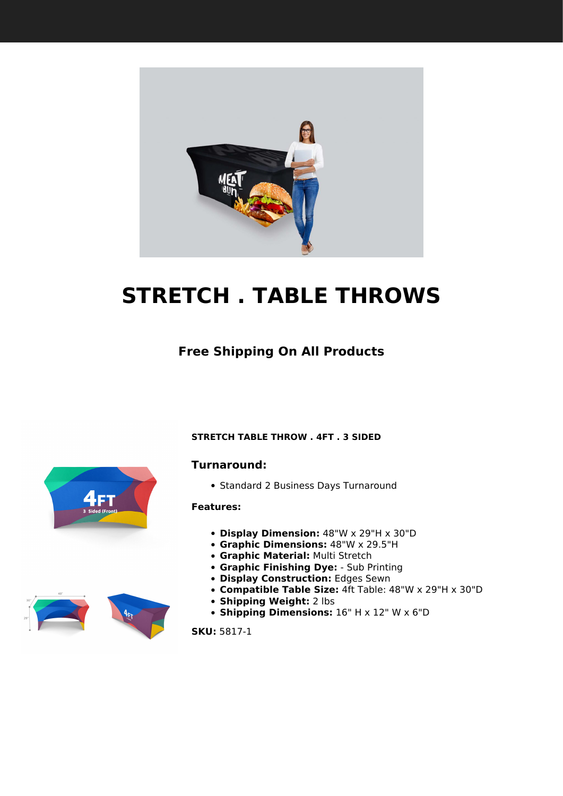<span id="page-1-1"></span><span id="page-1-0"></span>

# **STRETCH . TABLE THROWS**

# **Free Shipping On All Products**

#### **STRETCH TABLE THROW . 4FT . 3 SIDED**

#### **Turnaround:**

• Standard 2 Business Days Turnaround

#### **Features:**

- **Display Dimension:** 48"W x 29"H x 30"D
- **Graphic Dimensions:** 48"W x 29.5"H
- **Graphic Material:** Multi Stretch
- **Graphic Finishing Dye:** Sub Printing
- **Display Construction:** Edges Sewn
- **Compatible Table Size:** 4ft Table: 48"W x 29"H x 30"D
- **Shipping Weight:** 2 lbs
- **Shipping Dimensions:** 16" H x 12" W x 6"D

**SKU:** 5817-1



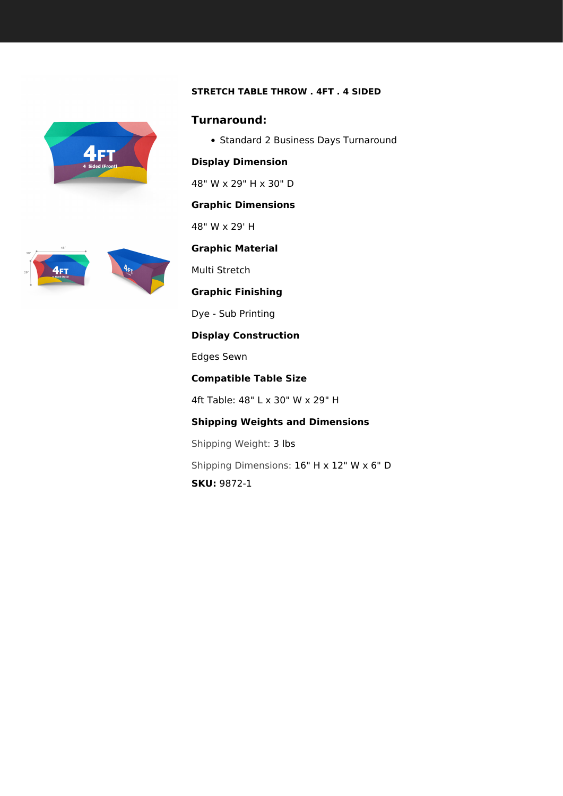## **STRETCH TABLE THROW . 4FT . 4 SIDED**

<span id="page-2-0"></span>

## **Turnaround:**

• Standard 2 Business Days Turnaround

### **Display Dimension**

48" W x 29" H x 30" D

#### **Graphic Dimensions**

48" W x 29' H

# **Graphic Material**

Multi Stretch

**Graphic Finishing**

Dye - Sub Printing

## **Display Construction**

Edges Sewn

**Compatible Table Size**

4ft Table: 48" L x 30" W x 29" H

# **Shipping Weights and Dimensions**

Shipping Weight: 3 lbs

Shipping Dimensions: 16" H x 12" W x 6" D

**SKU:** 9872-1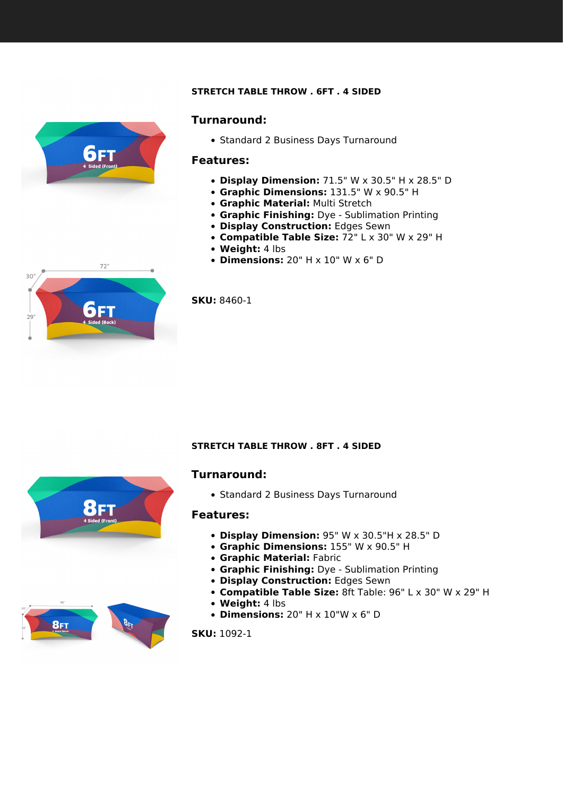#### **STRETCH TABLE THROW . 6FT . 4 SIDED**

<span id="page-3-0"></span>

#### **Turnaround:**

• Standard 2 Business Days Turnaround

#### **Features:**

- **Display Dimension:** 71.5" W x 30.5" H x 28.5" D
- **Graphic Dimensions:** 131.5" W x 90.5" H
- **Graphic Material:** Multi Stretch
- **Graphic Finishing:** Dye Sublimation Printing
- **Display Construction:** Edges Sewn
- **Compatible Table Size:** 72" L x 30" W x 29" H
- **Weight:** 4 lbs
- **Dimensions:** 20" H x 10" W x 6" D



**SKU:** 8460-1

#### **STRETCH TABLE THROW . 8FT . 4 SIDED**

# **Turnaround:**

• Standard 2 Business Days Turnaround

#### **Features:**

- **Display Dimension:** 95" W x 30.5"H x 28.5" D
- **Graphic Dimensions:** 155" W x 90.5" H
- **Graphic Material:** Fabric
- **Graphic Finishing:** Dye Sublimation Printing
- **Display Construction:** Edges Sewn
- **Compatible Table Size:** 8ft Table: 96" L x 30" W x 29" H
- **Weight:** 4 lbs
- **Dimensions:** 20" H x 10"W x 6" D

**SKU:** 1092-1



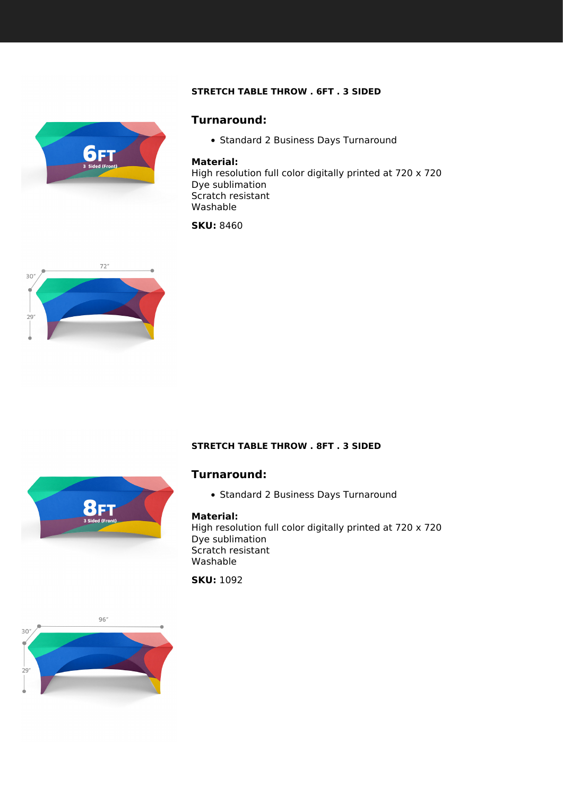## **STRETCH TABLE THROW . 6FT . 3 SIDED**

<span id="page-4-0"></span>

# **Turnaround:**

• Standard 2 Business Days Turnaround

#### **Material:**

High resolution full color digitally printed at 720 x 720 Dye sublimation Scratch resistant Washable

**SKU:** 8460



#### **STRETCH TABLE THROW . 8FT . 3 SIDED**



# **Turnaround:**

• Standard 2 Business Days Turnaround

#### **Material:**

High resolution full color digitally printed at 720 x 720 Dye sublimation Scratch resistant Washable

**SKU:** 1092